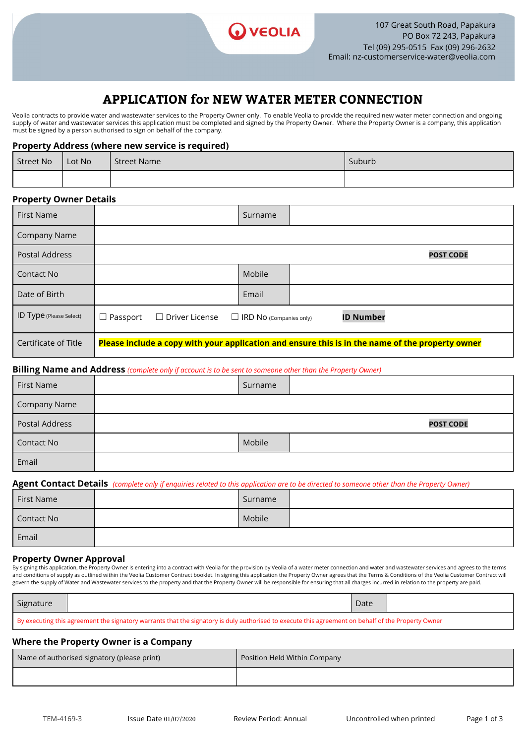

## **APPLICATION for NEW WATER METER CONNECTION**

Veolia contracts to provide water and wastewater services to the Property Owner only. To enable Veolia to provide the required new water meter connection and ongoing supply of water and wastewater services this application must be completed and signed by the Property Owner. Where the Property Owner is a company, this application must be signed by a person authorised to sign on behalf of the company.

### **Property Address (where new service is required)**

| Street No Lot No | I Street Name | Suburb |
|------------------|---------------|--------|
|                  |               |        |

### **Property Owner Details**

| <b>First Name</b>              |                 |                       | Surname                        |                  |                                                                                                  |
|--------------------------------|-----------------|-----------------------|--------------------------------|------------------|--------------------------------------------------------------------------------------------------|
| Company Name                   |                 |                       |                                |                  |                                                                                                  |
| Postal Address                 |                 |                       |                                |                  | <b>POST CODE</b>                                                                                 |
| Contact No                     |                 |                       | Mobile                         |                  |                                                                                                  |
| Date of Birth                  |                 |                       | Email                          |                  |                                                                                                  |
| <b>ID Type (Please Select)</b> | $\Box$ Passport | $\Box$ Driver License | $\Box$ IRD NO (Companies only) | <b>ID Number</b> |                                                                                                  |
| Certificate of Title           |                 |                       |                                |                  | Please include a copy with your application and ensure this is in the name of the property owner |

## **Billing Name and Address** *(complete only if account is to be sent to someone other than the Property Owner)*

| First Name     | Surname |                  |
|----------------|---------|------------------|
| Company Name   |         |                  |
| Postal Address |         | <b>POST CODE</b> |
| Contact No     | Mobile  |                  |
| Email          |         |                  |

### **Agent Contact Details**  *(complete only if enquiries related to this application are to be directed to someone other than the Property Owner)*

| First Name | Surname |  |
|------------|---------|--|
| Contact No | Mobile  |  |
| Email      |         |  |

### **Property Owner Approval**

By signing this application, the Property Owner is entering into a contract with Veolia for the provision by Veolia of a water meter connection and water and wastewater services and agrees to the terms and conditions of supply as outlined within the Veolia Customer Contract booklet. In signing this application the Property Owner agrees that the Terms & Conditions of the Veolia Customer Contract will govern the supply of Water and Wastewater services to the property and that the Property Owner will be responsible for ensuring that all charges incurred in relation to the property are paid.

| Signature                                                                                                                                          |  | Date |  |
|----------------------------------------------------------------------------------------------------------------------------------------------------|--|------|--|
| By executing this agreement the signatory warrants that the signatory is duly authorised to execute this agreement on behalf of the Property Owner |  |      |  |

### **Where the Property Owner is a Company**

| Name of authorised signatory (please print) | Position Held Within Company |
|---------------------------------------------|------------------------------|
|                                             |                              |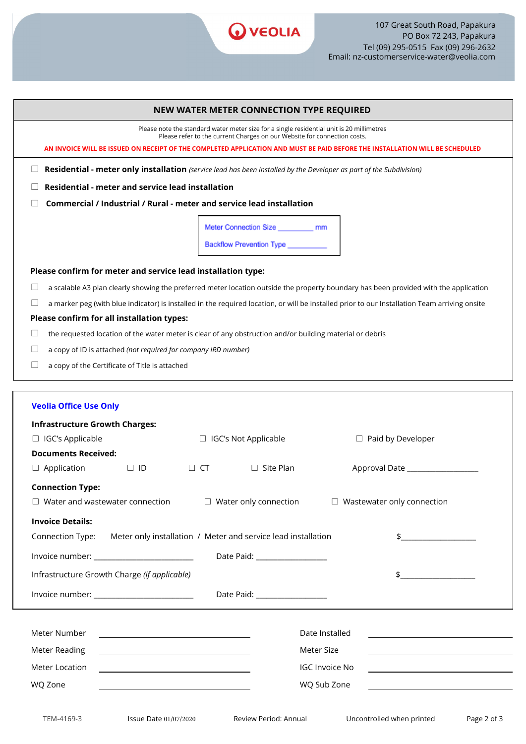

|                                                                                          | <b>NEW WATER METER CONNECTION TYPE REQUIRED</b>                                                                                                                       |
|------------------------------------------------------------------------------------------|-----------------------------------------------------------------------------------------------------------------------------------------------------------------------|
|                                                                                          | Please note the standard water meter size for a single residential unit is 20 millimetres<br>Please refer to the current Charges on our Website for connection costs. |
|                                                                                          | AN INVOICE WILL BE ISSUED ON RECEIPT OF THE COMPLETED APPLICATION AND MUST BE PAID BEFORE THE INSTALLATION WILL BE SCHEDULED                                          |
|                                                                                          | Residential - meter only installation (service lead has been installed by the Developer as part of the Subdivision)                                                   |
| Residential - meter and service lead installation                                        |                                                                                                                                                                       |
| Commercial / Industrial / Rural - meter and service lead installation                    |                                                                                                                                                                       |
|                                                                                          | Meter Connection Size __________ mm                                                                                                                                   |
|                                                                                          | Backflow Prevention Type _________                                                                                                                                    |
|                                                                                          |                                                                                                                                                                       |
| Please confirm for meter and service lead installation type:                             |                                                                                                                                                                       |
|                                                                                          | a scalable A3 plan clearly showing the preferred meter location outside the property boundary has been provided with the application                                  |
|                                                                                          | a marker peg (with blue indicator) is installed in the required location, or will be installed prior to our Installation Team arriving onsite                         |
| Please confirm for all installation types:                                               |                                                                                                                                                                       |
|                                                                                          | the requested location of the water meter is clear of any obstruction and/or building material or debris                                                              |
| a copy of ID is attached (not required for company IRD number)                           |                                                                                                                                                                       |
| $\sqcup$<br>a copy of the Certificate of Title is attached                               |                                                                                                                                                                       |
| $\Box$ IGC's Applicable<br><b>Documents Received:</b><br>$\Box$ Application<br>$\Box$ ID | □ IGC's Not Applicable<br>$\Box$ Paid by Developer<br>$\Box$ Site Plan<br>$\Box$ CT                                                                                   |
| <b>Connection Type:</b>                                                                  |                                                                                                                                                                       |
| $\Box$ Water and wastewater connection                                                   | $\Box$ Water only connection<br>$\Box$ Wastewater only connection                                                                                                     |
| <b>Invoice Details:</b>                                                                  |                                                                                                                                                                       |
| Connection Type:                                                                         | Meter only installation / Meter and service lead installation<br>$\updownarrow$                                                                                       |
| Invoice number: ___________________________                                              | Date Paid: ___________________                                                                                                                                        |
| Infrastructure Growth Charge (if applicable)                                             |                                                                                                                                                                       |
| Invoice number: _________________________                                                | Date Paid: __________________                                                                                                                                         |
|                                                                                          |                                                                                                                                                                       |
| Meter Number                                                                             | Date Installed                                                                                                                                                        |
| Meter Reading                                                                            | Meter Size                                                                                                                                                            |
| Meter Location                                                                           | <b>IGC Invoice No</b>                                                                                                                                                 |
| WQ Zone                                                                                  | WQ Sub Zone<br><u> 1980 - Johann Barbara, martxa alemaniar a</u>                                                                                                      |
|                                                                                          |                                                                                                                                                                       |
| TEM-4169-3<br>Issue Date 01/07/2020                                                      | Uncontrolled when printed<br>Review Period: Annual<br>Page 2 of 3                                                                                                     |
|                                                                                          |                                                                                                                                                                       |